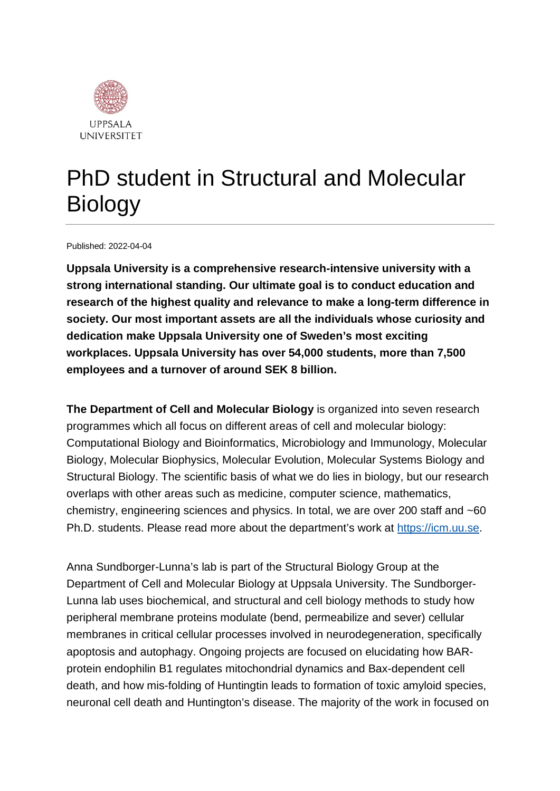

# PhD student in Structural and Molecular Biology

Published: 2022-04-04

**Uppsala University is a comprehensive research-intensive university with a strong international standing. Our ultimate goal is to conduct education and research of the highest quality and relevance to make a long-term difference in society. Our most important assets are all the individuals whose curiosity and dedication make Uppsala University one of Sweden's most exciting workplaces. Uppsala University has over 54,000 students, more than 7,500 employees and a turnover of around SEK 8 billion.**

**The Department of Cell and Molecular Biology** is organized into seven research programmes which all focus on different areas of cell and molecular biology: Computational Biology and Bioinformatics, Microbiology and Immunology, Molecular Biology, Molecular Biophysics, Molecular Evolution, Molecular Systems Biology and Structural Biology. The scientific basis of what we do lies in biology, but our research overlaps with other areas such as medicine, computer science, mathematics, chemistry, engineering sciences and physics. In total, we are over 200 staff and ~60 Ph.D. students. Please read more about the department's work at [https://icm.uu.se.](https://icm.uu.se/)

Anna Sundborger-Lunna's lab is part of the Structural Biology Group at the Department of Cell and Molecular Biology at Uppsala University. The Sundborger-Lunna lab uses biochemical, and structural and cell biology methods to study how peripheral membrane proteins modulate (bend, permeabilize and sever) cellular membranes in critical cellular processes involved in neurodegeneration, specifically apoptosis and autophagy. Ongoing projects are focused on elucidating how BARprotein endophilin B1 regulates mitochondrial dynamics and Bax-dependent cell death, and how mis-folding of Huntingtin leads to formation of toxic amyloid species, neuronal cell death and Huntington's disease. The majority of the work in focused on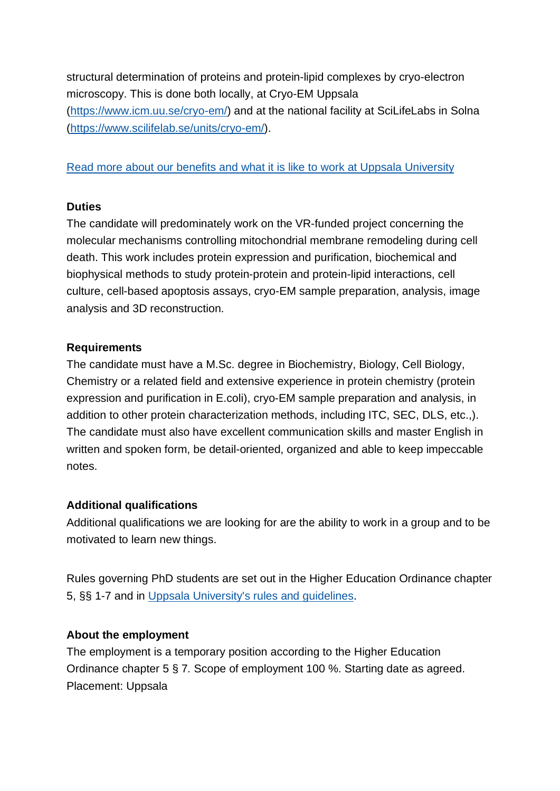structural determination of proteins and protein-lipid complexes by cryo-electron microscopy. This is done both locally, at Cryo-EM Uppsala [\(https://www.icm.uu.se/cryo-em/\)](https://www.icm.uu.se/cryo-em/) and at the national facility at SciLifeLabs in Solna [\(https://www.scilifelab.se/units/cryo-em/\)](https://www.scilifelab.se/units/cryo-em/).

## [Read more about our benefits and what it is like to work at Uppsala University](https://www.uu.se/en/about-uu/join-us/)

### **Duties**

The candidate will predominately work on the VR-funded project concerning the molecular mechanisms controlling mitochondrial membrane remodeling during cell death. This work includes protein expression and purification, biochemical and biophysical methods to study protein-protein and protein-lipid interactions, cell culture, cell-based apoptosis assays, cryo-EM sample preparation, analysis, image analysis and 3D reconstruction.

### **Requirements**

The candidate must have a M.Sc. degree in Biochemistry, Biology, Cell Biology, Chemistry or a related field and extensive experience in protein chemistry (protein expression and purification in E.coli), cryo-EM sample preparation and analysis, in addition to other protein characterization methods, including ITC, SEC, DLS, etc.,). The candidate must also have excellent communication skills and master English in written and spoken form, be detail-oriented, organized and able to keep impeccable notes.

# **Additional qualifications**

Additional qualifications we are looking for are the ability to work in a group and to be motivated to learn new things.

Rules governing PhD students are set out in the Higher Education Ordinance chapter 5, §§ 1-7 and in [Uppsala University's rules and guidelines.](https://regler.uu.se/?languageId=1)

# **About the employment**

The employment is a temporary position according to the Higher Education Ordinance chapter 5 § 7*.* Scope of employment 100 %. Starting date as agreed. Placement: Uppsala